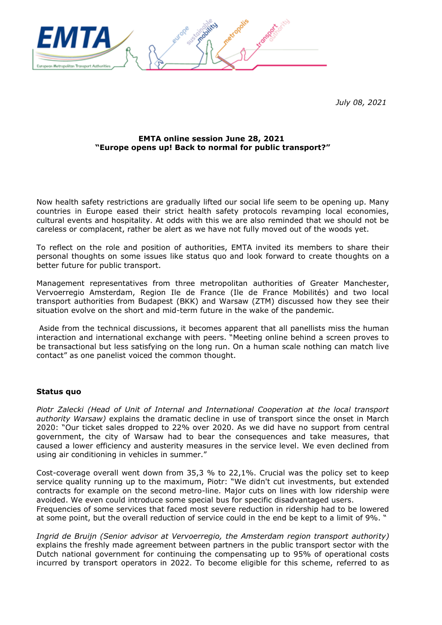

*July 08, 2021*

## **EMTA online session June 28, 2021 "Europe opens up! Back to normal for public transport?"**

Now health safety restrictions are gradually lifted our social life seem to be opening up. Many countries in Europe eased their strict health safety protocols revamping local economies, cultural events and hospitality. At odds with this we are also reminded that we should not be careless or complacent, rather be alert as we have not fully moved out of the woods yet.

To reflect on the role and position of authorities, EMTA invited its members to share their personal thoughts on some issues like status quo and look forward to create thoughts on a better future for public transport.

Management representatives from three metropolitan authorities of Greater Manchester, Vervoerregio Amsterdam, Region Ile de France (Ile de France Mobilités) and two local transport authorities from Budapest (BKK) and Warsaw (ZTM) discussed how they see their situation evolve on the short and mid-term future in the wake of the pandemic.

Aside from the technical discussions, it becomes apparent that all panellists miss the human interaction and international exchange with peers. "Meeting online behind a screen proves to be transactional but less satisfying on the long run. On a human scale nothing can match live contact" as one panelist voiced the common thought.

#### **Status quo**

*Piotr Zalecki (Head of Unit of Internal and International Cooperation at the local transport authority Warsaw)* explains the dramatic decline in use of transport since the onset in March 2020: "Our ticket sales dropped to 22% over 2020. As we did have no support from central government, the city of Warsaw had to bear the consequences and take measures, that caused a lower efficiency and austerity measures in the service level. We even declined from using air conditioning in vehicles in summer."

Cost-coverage overall went down from 35,3 % to 22,1%. Crucial was the policy set to keep service quality running up to the maximum, Piotr: "We didn't cut investments, but extended contracts for example on the second metro-line. Major cuts on lines with low ridership were avoided. We even could introduce some special bus for specific disadvantaged users. Frequencies of some services that faced most severe reduction in ridership had to be lowered at some point, but the overall reduction of service could in the end be kept to a limit of 9%. "

*Ingrid de Bruijn (Senior advisor at Vervoerregio, the Amsterdam region transport authority)* explains the freshly made agreement between partners in the public transport sector with the Dutch national government for continuing the compensating up to 95% of operational costs incurred by transport operators in 2022. To become eligible for this scheme, referred to as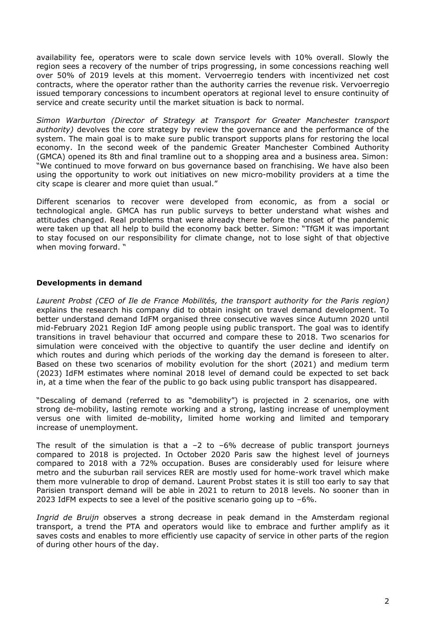availability fee, operators were to scale down service levels with 10% overall. Slowly the region sees a recovery of the number of trips progressing, in some concessions reaching well over 50% of 2019 levels at this moment. Vervoerregio tenders with incentivized net cost contracts, where the operator rather than the authority carries the revenue risk. Vervoerregio issued temporary concessions to incumbent operators at regional level to ensure continuity of service and create security until the market situation is back to normal.

*Simon Warburton (Director of Strategy at Transport for Greater Manchester transport authority)* devolves the core strategy by review the governance and the performance of the system. The main goal is to make sure public transport supports plans for restoring the local economy. In the second week of the pandemic Greater Manchester Combined Authority (GMCA) opened its 8th and final tramline out to a shopping area and a business area. Simon: "We continued to move forward on bus governance based on franchising. We have also been using the opportunity to work out initiatives on new micro-mobility providers at a time the city scape is clearer and more quiet than usual."

Different scenarios to recover were developed from economic, as from a social or technological angle. GMCA has run public surveys to better understand what wishes and attitudes changed. Real problems that were already there before the onset of the pandemic were taken up that all help to build the economy back better. Simon: "TfGM it was important to stay focused on our responsibility for climate change, not to lose sight of that objective when moving forward. "

# **Developments in demand**

*Laurent Probst (CEO of Ile de France Mobilités, the transport authority for the Paris region)* explains the research his company did to obtain insight on travel demand development. To better understand demand IdFM organised three consecutive waves since Autumn 2020 until mid-February 2021 Region IdF among people using public transport. The goal was to identify transitions in travel behaviour that occurred and compare these to 2018. Two scenarios for simulation were conceived with the objective to quantify the user decline and identify on which routes and during which periods of the working day the demand is foreseen to alter. Based on these two scenarios of mobility evolution for the short (2021) and medium term (2023) IdFM estimates where nominal 2018 level of demand could be expected to set back in, at a time when the fear of the public to go back using public transport has disappeared.

"Descaling of demand (referred to as "demobility") is projected in 2 scenarios, one with strong de-mobility, lasting remote working and a strong, lasting increase of unemployment versus one with limited de-mobility, limited home working and limited and temporary increase of unemployment.

The result of the simulation is that a  $-2$  to  $-6\%$  decrease of public transport journeys compared to 2018 is projected. In October 2020 Paris saw the highest level of journeys compared to 2018 with a 72% occupation. Buses are considerably used for leisure where metro and the suburban rail services RER are mostly used for home-work travel which make them more vulnerable to drop of demand. Laurent Probst states it is still too early to say that Parisien transport demand will be able in 2021 to return to 2018 levels. No sooner than in 2023 IdFM expects to see a level of the positive scenario going up to  $-6\%$ .

*Ingrid de Bruijn* observes a strong decrease in peak demand in the Amsterdam regional transport, a trend the PTA and operators would like to embrace and further amplify as it saves costs and enables to more efficiently use capacity of service in other parts of the region of during other hours of the day.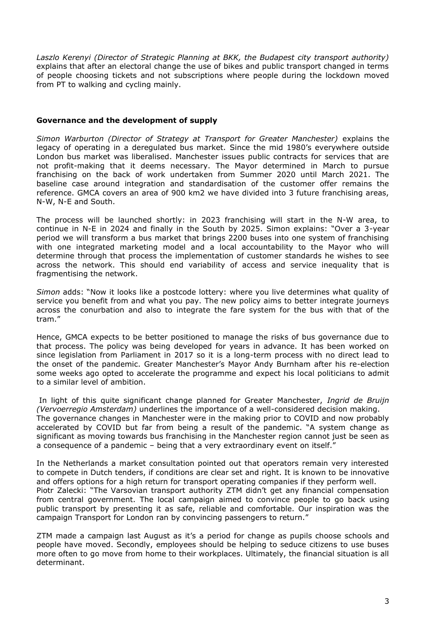*Laszlo Kerenyi (Director of Strategic Planning at BKK, the Budapest city transport authority)* explains that after an electoral change the use of bikes and public transport changed in terms of people choosing tickets and not subscriptions where people during the lockdown moved from PT to walking and cycling mainly.

# **Governance and the development of supply**

*Simon Warburton (Director of Strategy at Transport for Greater Manchester)* explains the legacy of operating in a deregulated bus market. Since the mid 1980's everywhere outside London bus market was liberalised. Manchester issues public contracts for services that are not profit-making that it deems necessary. The Mayor determined in March to pursue franchising on the back of work undertaken from Summer 2020 until March 2021. The baseline case around integration and standardisation of the customer offer remains the reference. GMCA covers an area of 900 km2 we have divided into 3 future franchising areas, N-W, N-E and South.

The process will be launched shortly: in 2023 franchising will start in the N-W area, to continue in N-E in 2024 and finally in the South by 2025. Simon explains: "Over a 3-year period we will transform a bus market that brings 2200 buses into one system of franchising with one integrated marketing model and a local accountability to the Mayor who will determine through that process the implementation of customer standards he wishes to see across the network. This should end variability of access and service inequality that is fragmentising the network.

*Simon* adds: "Now it looks like a postcode lottery: where you live determines what quality of service you benefit from and what you pay. The new policy aims to better integrate journeys across the conurbation and also to integrate the fare system for the bus with that of the tram."

Hence, GMCA expects to be better positioned to manage the risks of bus governance due to that process. The policy was being developed for years in advance. It has been worked on since legislation from Parliament in 2017 so it is a long-term process with no direct lead to the onset of the pandemic. Greater Manchester's Mayor Andy Burnham after his re-election some weeks ago opted to accelerate the programme and expect his local politicians to admit to a similar level of ambition.

In light of this quite significant change planned for Greater Manchester, *Ingrid de Bruijn (Vervoerregio Amsterdam)* underlines the importance of a well-considered decision making. The governance changes in Manchester were in the making prior to COVID and now probably accelerated by COVID but far from being a result of the pandemic. "A system change as significant as moving towards bus franchising in the Manchester region cannot just be seen as a consequence of a pandemic – being that a very extraordinary event on itself."

In the Netherlands a market consultation pointed out that operators remain very interested to compete in Dutch tenders, if conditions are clear set and right. It is known to be innovative and offers options for a high return for transport operating companies if they perform well. Piotr Zalecki: "The Varsovian transport authority ZTM didn't get any financial compensation from central government. The local campaign aimed to convince people to go back using public transport by presenting it as safe, reliable and comfortable. Our inspiration was the campaign Transport for London ran by convincing passengers to return."

ZTM made a campaign last August as it's a period for change as pupils choose schools and people have moved. Secondly, employees should be helping to seduce citizens to use buses more often to go move from home to their workplaces. Ultimately, the financial situation is all determinant.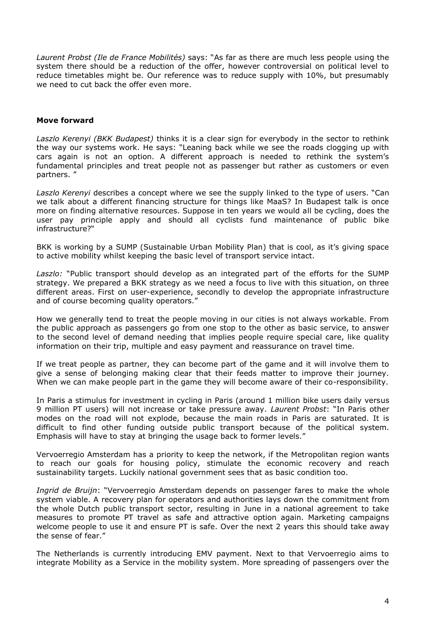*Laurent Probst (Ile de France Mobilités)* says: "As far as there are much less people using the system there should be a reduction of the offer, however controversial on political level to reduce timetables might be. Our reference was to reduce supply with 10%, but presumably we need to cut back the offer even more.

## **Move forward**

*Laszlo Kerenyi (BKK Budapest)* thinks it is a clear sign for everybody in the sector to rethink the way our systems work. He says: "Leaning back while we see the roads clogging up with cars again is not an option. A different approach is needed to rethink the system's fundamental principles and treat people not as passenger but rather as customers or even partners. "

*Laszlo Kerenyi* describes a concept where we see the supply linked to the type of users. "Can we talk about a different financing structure for things like MaaS? In Budapest talk is once more on finding alternative resources. Suppose in ten years we would all be cycling, does the user pay principle apply and should all cyclists fund maintenance of public bike infrastructure?"

BKK is working by a SUMP (Sustainable Urban Mobility Plan) that is cool, as it's giving space to active mobility whilst keeping the basic level of transport service intact.

*Laszlo:* "Public transport should develop as an integrated part of the efforts for the SUMP strategy. We prepared a BKK strategy as we need a focus to live with this situation, on three different areas. First on user-experience, secondly to develop the appropriate infrastructure and of course becoming quality operators."

How we generally tend to treat the people moving in our cities is not always workable. From the public approach as passengers go from one stop to the other as basic service, to answer to the second level of demand needing that implies people require special care, like quality information on their trip, multiple and easy payment and reassurance on travel time.

If we treat people as partner, they can become part of the game and it will involve them to give a sense of belonging making clear that their feeds matter to improve their journey. When we can make people part in the game they will become aware of their co-responsibility.

In Paris a stimulus for investment in cycling in Paris (around 1 million bike users daily versus 9 million PT users) will not increase or take pressure away. *Laurent Probst*: "In Paris other modes on the road will not explode, because the main roads in Paris are saturated. It is difficult to find other funding outside public transport because of the political system. Emphasis will have to stay at bringing the usage back to former levels."

Vervoerregio Amsterdam has a priority to keep the network, if the Metropolitan region wants to reach our goals for housing policy, stimulate the economic recovery and reach sustainability targets. Luckily national government sees that as basic condition too.

*Ingrid de Bruijn*: "Vervoerregio Amsterdam depends on passenger fares to make the whole system viable. A recovery plan for operators and authorities lays down the commitment from the whole Dutch public transport sector, resulting in June in a national agreement to take measures to promote PT travel as safe and attractive option again. Marketing campaigns welcome people to use it and ensure PT is safe. Over the next 2 years this should take away the sense of fear."

The Netherlands is currently introducing EMV payment. Next to that Vervoerregio aims to integrate Mobility as a Service in the mobility system. More spreading of passengers over the